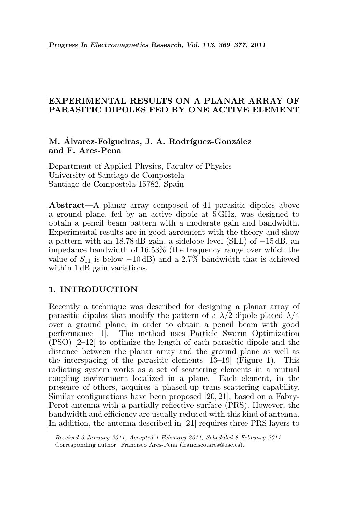# EXPERIMENTAL RESULTS ON A PLANAR ARRAY OF PARASITIC DIPOLES FED BY ONE ACTIVE ELEMENT

# M. Álvarez-Folgueiras, J. A. Rodríguez-González and F. Ares-Pena

Department of Applied Physics, Faculty of Physics University of Santiago de Compostela Santiago de Compostela 15782, Spain

Abstract—A planar array composed of 41 parasitic dipoles above a ground plane, fed by an active dipole at 5 GHz, was designed to obtain a pencil beam pattern with a moderate gain and bandwidth. Experimental results are in good agreement with the theory and show a pattern with an 18.78 dB gain, a sidelobe level (SLL) of −15 dB, an impedance bandwidth of 16.53% (the frequency range over which the value of  $S_{11}$  is below  $-10$  dB) and a 2.7% bandwidth that is achieved within  $1 \text{ dB}$  gain variations.

# 1. INTRODUCTION

Recently a technique was described for designing a planar array of parasitic dipoles that modify the pattern of a  $\lambda/2$ -dipole placed  $\lambda/4$ over a ground plane, in order to obtain a pencil beam with good performance [1]. The method uses Particle Swarm Optimization (PSO) [2–12] to optimize the length of each parasitic dipole and the distance between the planar array and the ground plane as well as the interspacing of the parasitic elements [13–19] (Figure 1). This radiating system works as a set of scattering elements in a mutual coupling environment localized in a plane. Each element, in the presence of others, acquires a phased-up trans-scattering capability. Similar configurations have been proposed [20, 21], based on a Fabry-Perot antenna with a partially reflective surface (PRS). However, the bandwidth and efficiency are usually reduced with this kind of antenna. In addition, the antenna described in [21] requires three PRS layers to

Received 3 January 2011, Accepted 1 February 2011, Scheduled 8 February 2011 Corresponding author: Francisco Ares-Pena (francisco.ares@usc.es).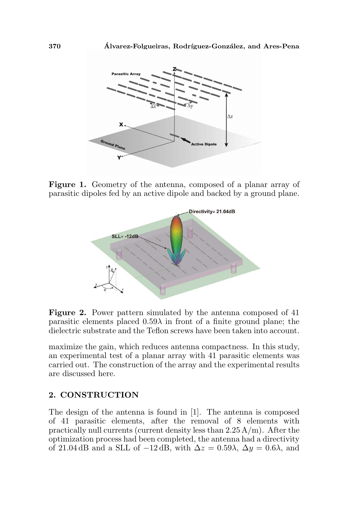

Figure 1. Geometry of the antenna, composed of a planar array of parasitic dipoles fed by an active dipole and backed by a ground plane.



Figure 2. Power pattern simulated by the antenna composed of 41 parasitic elements placed  $0.59\lambda$  in front of a finite ground plane; the dielectric substrate and the Teflon screws have been taken into account.

maximize the gain, which reduces antenna compactness. In this study, an experimental test of a planar array with 41 parasitic elements was carried out. The construction of the array and the experimental results are discussed here.

### 2. CONSTRUCTION

The design of the antenna is found in [1]. The antenna is composed of 41 parasitic elements, after the removal of 8 elements with practically null currents (current density less than  $2.25 \text{ A/m}$ ). After the optimization process had been completed, the antenna had a directivity of 21.04 dB and a SLL of  $-12$  dB, with  $\Delta z = 0.59\lambda$ ,  $\Delta y = 0.6\lambda$ , and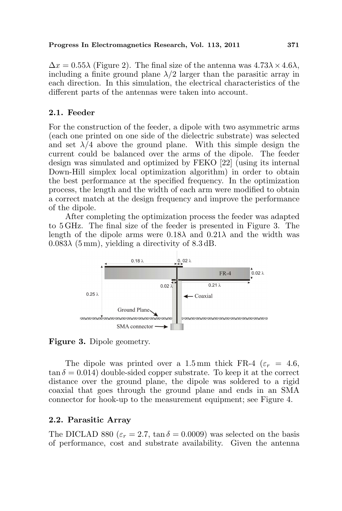$\Delta x = 0.55\lambda$  (Figure 2). The final size of the antenna was  $4.73\lambda \times 4.6\lambda$ , including a finite ground plane  $\lambda/2$  larger than the parasitic array in each direction. In this simulation, the electrical characteristics of the different parts of the antennas were taken into account.

#### 2.1. Feeder

For the construction of the feeder, a dipole with two asymmetric arms (each one printed on one side of the dielectric substrate) was selected and set  $\lambda/4$  above the ground plane. With this simple design the current could be balanced over the arms of the dipole. The feeder design was simulated and optimized by FEKO [22] (using its internal Down-Hill simplex local optimization algorithm) in order to obtain the best performance at the specified frequency. In the optimization process, the length and the width of each arm were modified to obtain a correct match at the design frequency and improve the performance of the dipole.

After completing the optimization process the feeder was adapted to 5 GHz. The final size of the feeder is presented in Figure 3. The length of the dipole arms were  $0.18\lambda$  and  $0.21\lambda$  and the width was  $0.083\lambda$  (5 mm), yielding a directivity of 8.3 dB.



Figure 3. Dipole geometry.

The dipole was printed over a 1.5 mm thick FR-4 ( $\varepsilon_r = 4.6$ ,  $\tan \delta = 0.014$ ) double-sided copper substrate. To keep it at the correct distance over the ground plane, the dipole was soldered to a rigid coaxial that goes through the ground plane and ends in an SMA connector for hook-up to the measurement equipment; see Figure 4.

### 2.2. Parasitic Array

The DICLAD 880 ( $\varepsilon_r = 2.7$ ,  $\tan \delta = 0.0009$ ) was selected on the basis of performance, cost and substrate availability. Given the antenna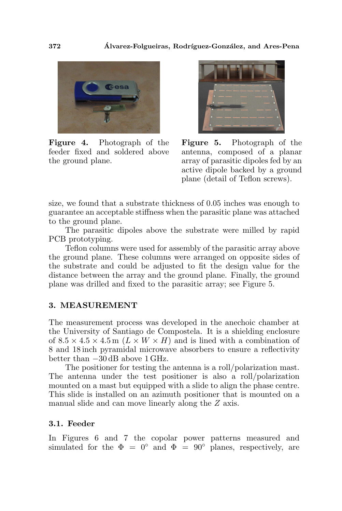

Figure 4. Photograph of the feeder fixed and soldered above the ground plane.



Figure 5. Photograph of the antenna, composed of a planar array of parasitic dipoles fed by an active dipole backed by a ground plane (detail of Teflon screws).

size, we found that a substrate thickness of 0.05 inches was enough to guarantee an acceptable stiffness when the parasitic plane was attached to the ground plane.

The parasitic dipoles above the substrate were milled by rapid PCB prototyping.

Teflon columns were used for assembly of the parasitic array above the ground plane. These columns were arranged on opposite sides of the substrate and could be adjusted to fit the design value for the distance between the array and the ground plane. Finally, the ground plane was drilled and fixed to the parasitic array; see Figure 5.

#### 3. MEASUREMENT

The measurement process was developed in the anechoic chamber at the University of Santiago de Compostela. It is a shielding enclosure of  $8.5 \times 4.5 \times 4.5$  m  $(L \times W \times H)$  and is lined with a combination of 8 and 18 inch pyramidal microwave absorbers to ensure a reflectivity better than −30 dB above 1 GHz.

The positioner for testing the antenna is a roll/polarization mast. The antenna under the test positioner is also a roll/polarization mounted on a mast but equipped with a slide to align the phase centre. This slide is installed on an azimuth positioner that is mounted on a manual slide and can move linearly along the Z axis.

#### 3.1. Feeder

In Figures 6 and 7 the copolar power patterns measured and simulated for the  $\Phi = 0^{\circ}$  and  $\Phi = 90^{\circ}$  planes, respectively, are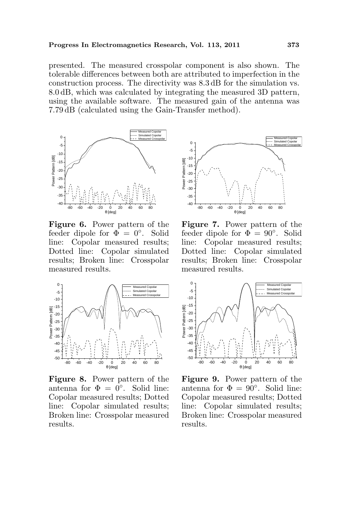presented. The measured crosspolar component is also shown. The tolerable differences between both are attributed to imperfection in the construction process. The directivity was 8.3 dB for the simulation vs. 8.0 dB, which was calculated by integrating the measured 3D pattern, using the available software. The measured gain of the antenna was 7.79 dB (calculated using the Gain-Transfer method).



Figure 6. Power pattern of the feeder dipole for  $\overline{\Phi} = 0^{\circ}$ . Solid line: Copolar measured results; Dotted line: Copolar simulated results; Broken line: Crosspolar measured results.



Figure 8. Power pattern of the antenna for  $\Phi = 0^{\circ}$ . Solid line: Copolar measured results; Dotted line: Copolar simulated results; Broken line: Crosspolar measured results.



Figure 7. Power pattern of the feeder dipole for  $\Phi = 90^\circ$ . Solid line: Copolar measured results; Dotted line: Copolar simulated results; Broken line: Crosspolar measured results.



Figure 9. Power pattern of the antenna for  $\Phi = 90^\circ$ . Solid line: Copolar measured results; Dotted line: Copolar simulated results; Broken line: Crosspolar measured results.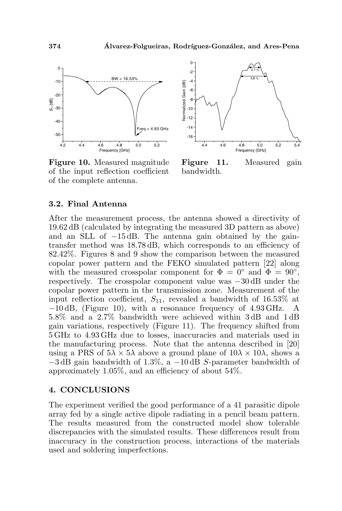

Figure 10. Measured magnitude of the input reflection coefficient of the complete antenna.



Figure 11. Measured gain bandwidth.

#### 3.2. Final Antenna

After the measurement process, the antenna showed a directivity of 19.62 dB (calculated by integrating the measured 3D pattern as above) and an SLL of −15 dB. The antenna gain obtained by the gaintransfer method was 18.78 dB, which corresponds to an efficiency of 82.42%. Figures 8 and 9 show the comparison between the measured copolar power pattern and the FEKO simulated pattern [22] along with the measured crosspolar component for  $\Phi = 0^{\circ}$  and  $\Phi = 90^{\circ}$ , respectively. The crosspolar component value was −30 dB under the copolar power pattern in the transmission zone. Measurement of the input reflection coefficient,  $S_{11}$ , revealed a bandwidth of 16.53% at −10 dB, (Figure 10), with a resonance frequency of 4.93 GHz. A 5.8% and a 2.7% bandwidth were achieved within 3 dB and 1 dB gain variations, respectively (Figure 11). The frequency shifted from 5 GHz to 4.93 GHz due to losses, inaccuracies and materials used in the manufacturing process. Note that the antenna described in [20] using a PRS of  $5\lambda \times 5\lambda$  above a ground plane of  $10\lambda \times 10\lambda$ , shows a  $-3$  dB gain bandwidth of 1.3%, a  $-10$  dB S-parameter bandwidth of approximately 1.05%, and an efficiency of about 54%.

#### 4. CONCLUSIONS

The experiment verified the good performance of a 41 parasitic dipole array fed by a single active dipole radiating in a pencil beam pattern. The results measured from the constructed model show tolerable discrepancies with the simulated results. These differences result from inaccuracy in the construction process, interactions of the materials used and soldering imperfections.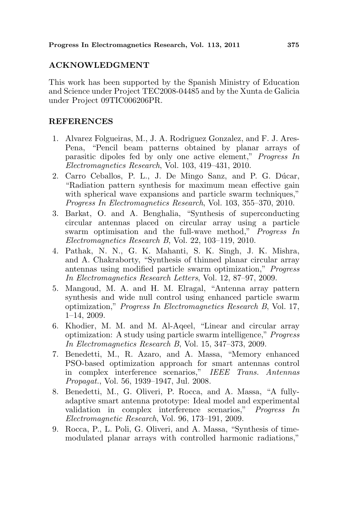## ACKNOWLEDGMENT

This work has been supported by the Spanish Ministry of Education and Science under Project TEC2008-04485 and by the Xunta de Galicia under Project 09TIC006206PR.

### **REFERENCES**

- 1. Alvarez Folgueiras, M., J. A. Rodriguez Gonzalez, and F. J. Ares-Pena, "Pencil beam patterns obtained by planar arrays of parasitic dipoles fed by only one active element," Progress In Electromagnetics Research, Vol. 103, 419–431, 2010.
- 2. Carro Ceballos, P. L., J. De Mingo Sanz, and P. G. Dúcar, "Radiation pattern synthesis for maximum mean effective gain with spherical wave expansions and particle swarm techniques," Progress In Electromagnetics Research, Vol. 103, 355–370, 2010.
- 3. Barkat, O. and A. Benghalia, "Synthesis of superconducting circular antennas placed on circular array using a particle swarm optimisation and the full-wave method," Progress In Electromagnetics Research B, Vol. 22, 103–119, 2010.
- 4. Pathak, N. N., G. K. Mahanti, S. K. Singh, J. K. Mishra, and A. Chakraborty, "Synthesis of thinned planar circular array antennas using modified particle swarm optimization," Progress In Electromagnetics Research Letters, Vol. 12, 87–97, 2009.
- 5. Mangoud, M. A. and H. M. Elragal, "Antenna array pattern synthesis and wide null control using enhanced particle swarm optimization," Progress In Electromagnetics Research B, Vol. 17, 1–14, 2009.
- 6. Khodier, M. M. and M. Al-Aqeel, "Linear and circular array optimization: A study using particle swarm intelligence," Progress In Electromagnetics Research B, Vol. 15, 347–373, 2009.
- 7. Benedetti, M., R. Azaro, and A. Massa, "Memory enhanced PSO-based optimization approach for smart antennas control in complex interference scenarios," IEEE Trans. Antennas Propagat., Vol. 56, 1939–1947, Jul. 2008.
- 8. Benedetti, M., G. Oliveri, P. Rocca, and A. Massa, "A fullyadaptive smart antenna prototype: Ideal model and experimental validation in complex interference scenarios," Progress In Electromagnetic Research, Vol. 96, 173–191, 2009.
- 9. Rocca, P., L. Poli, G. Oliveri, and A. Massa, "Synthesis of timemodulated planar arrays with controlled harmonic radiations,"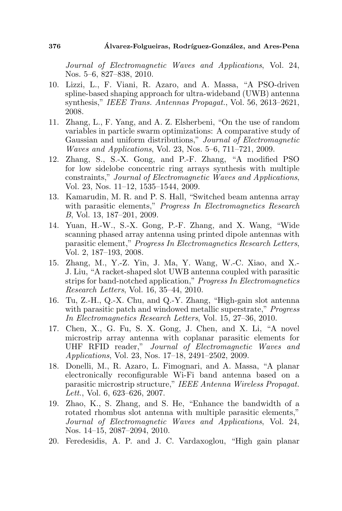Journal of Electromagnetic Waves and Applications, Vol. 24, Nos. 5–6, 827–838, 2010.

- 10. Lizzi, L., F. Viani, R. Azaro, and A. Massa, "A PSO-driven spline-based shaping approach for ultra-wideband (UWB) antenna synthesis," IEEE Trans. Antennas Propagat., Vol. 56, 2613–2621, 2008.
- 11. Zhang, L., F. Yang, and A. Z. Elsherbeni, "On the use of random variables in particle swarm optimizations: A comparative study of Gaussian and uniform distributions," Journal of Electromagnetic Waves and Applications, Vol. 23, Nos. 5–6, 711–721, 2009.
- 12. Zhang, S., S.-X. Gong, and P.-F. Zhang, "A modified PSO for low sidelobe concentric ring arrays synthesis with multiple constraints," Journal of Electromagnetic Waves and Applications, Vol. 23, Nos. 11–12, 1535–1544, 2009.
- 13. Kamarudin, M. R. and P. S. Hall, "Switched beam antenna array with parasitic elements," *Progress In Electromagnetics Research* B, Vol. 13, 187–201, 2009.
- 14. Yuan, H.-W., S.-X. Gong, P.-F. Zhang, and X. Wang, "Wide scanning phased array antenna using printed dipole antennas with parasitic element," Progress In Electromagnetics Research Letters, Vol. 2, 187–193, 2008.
- 15. Zhang, M., Y.-Z. Yin, J. Ma, Y. Wang, W.-C. Xiao, and X.- J. Liu, "A racket-shaped slot UWB antenna coupled with parasitic strips for band-notched application," Progress In Electromagnetics Research Letters, Vol. 16, 35–44, 2010.
- 16. Tu, Z.-H., Q.-X. Chu, and Q.-Y. Zhang, "High-gain slot antenna with parasitic patch and windowed metallic superstrate," Progress In Electromagnetics Research Letters, Vol. 15, 27–36, 2010.
- 17. Chen, X., G. Fu, S. X. Gong, J. Chen, and X. Li, "A novel microstrip array antenna with coplanar parasitic elements for UHF RFID reader," Journal of Electromagnetic Waves and Applications, Vol. 23, Nos. 17–18, 2491–2502, 2009.
- 18. Donelli, M., R. Azaro, L. Fimognari, and A. Massa, "A planar electronically reconfigurable Wi-Fi band antenna based on a parasitic microstrip structure," IEEE Antenna Wireless Propagat. Lett., Vol. 6, 623–626, 2007.
- 19. Zhao, K., S. Zhang, and S. He, "Enhance the bandwidth of a rotated rhombus slot antenna with multiple parasitic elements," Journal of Electromagnetic Waves and Applications, Vol. 24, Nos. 14–15, 2087–2094, 2010.
- 20. Feredesidis, A. P. and J. C. Vardaxoglou, "High gain planar